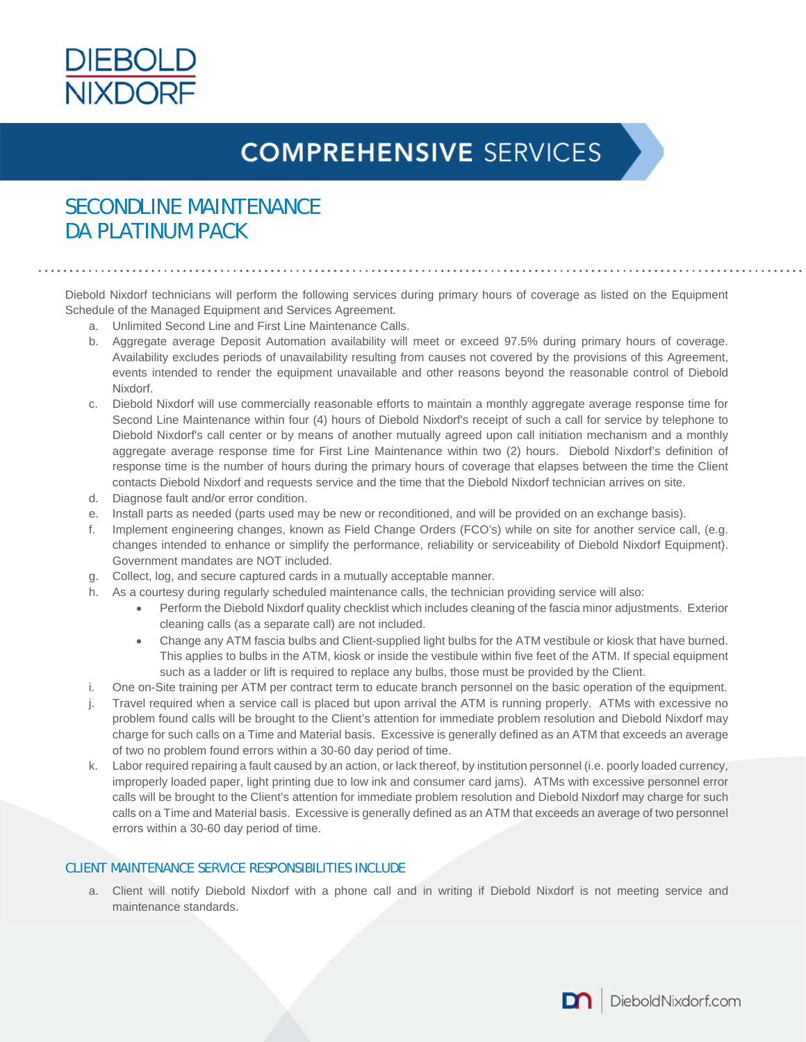

# **COMPREHENSIVE SERVICES**

### SECONDLINE MAINTENANCE DA PLATINUM PACK

Diebold Nixdorf technicians will perform the following services during primary hours of coverage as listed on the Equipment Schedule of the Managed Equipment and Services Agreement.

- a. Unlimited Second Line and First Line Maintenance Calls.
- b. Aggregate average Deposit Automation availability will meet or exceed 97.5% during primary hours of coverage. Availability excludes periods of unavailability resulting from causes not covered by the provisions of this Agreement, events intended to render the equipment unavailable and other reasons beyond the reasonable control of Diebold Nixdorf.
- c. Diebold Nixdorf will use commercially reasonable efforts to maintain a monthly aggregate average response time for Second Line Maintenance within four (4) hours of Diebold Nixdorf's receipt of such a call for service by telephone to Diebold Nixdorf's call center or by means of another mutually agreed upon call initiation mechanism and a monthly aggregate average response time for First Line Maintenance within two (2) hours. Diebold Nixdorf's definition of response time is the number of hours during the primary hours of coverage that elapses between the time the Client contacts Diebold Nixdorf and requests service and the time that the Diebold Nixdorf technician arrives on site.
- d. Diagnose fault and/or error condition.
- e. Install parts as needed (parts used may be new or reconditioned, and will be provided on an exchange basis).
- f. Implement engineering changes, known as Field Change Orders (FCO's) while on site for another service call, (e.g. changes intended to enhance or simplify the performance, reliability or serviceability of Diebold Nixdorf Equipment). Government mandates are NOT included.
- g. Collect, log, and secure captured cards in a mutually acceptable manner.
- h. As a courtesy during regularly scheduled maintenance calls, the technician providing service will also:
	- Perform the Diebold Nixdorf quality checklist which includes cleaning of the fascia minor adjustments. Exterior cleaning calls (as a separate call) are not included.
	- Change any ATM fascia bulbs and Client-supplied light bulbs for the ATM vestibule or kiosk that have burned. This applies to bulbs in the ATM, kiosk or inside the vestibule within five feet of the ATM. If special equipment such as a ladder or lift is required to replace any bulbs, those must be provided by the Client.
- i. One on-Site training per ATM per contract term to educate branch personnel on the basic operation of the equipment.
- j. Travel required when a service call is placed but upon arrival the ATM is running properly. ATMs with excessive no problem found calls will be brought to the Client's attention for immediate problem resolution and Diebold Nixdorf may charge for such calls on a Time and Material basis. Excessive is generally defined as an ATM that exceeds an average of two no problem found errors within a 30-60 day period of time.
- k. Labor required repairing a fault caused by an action, or lack thereof, by institution personnel (i.e. poorly loaded currency, improperly loaded paper, light printing due to low ink and consumer card jams). ATMs with excessive personnel error calls will be brought to the Client's attention for immediate problem resolution and Diebold Nixdorf may charge for such calls on a Time and Material basis. Excessive is generally defined as an ATM that exceeds an average of two personnel errors within a 30-60 day period of time.

#### CLIENT MAINTENANCE SERVICE RESPONSIBILITIES INCLUDE

a. Client will notify Diebold Nixdorf with a phone call and in writing if Diebold Nixdorf is not meeting service and maintenance standards.